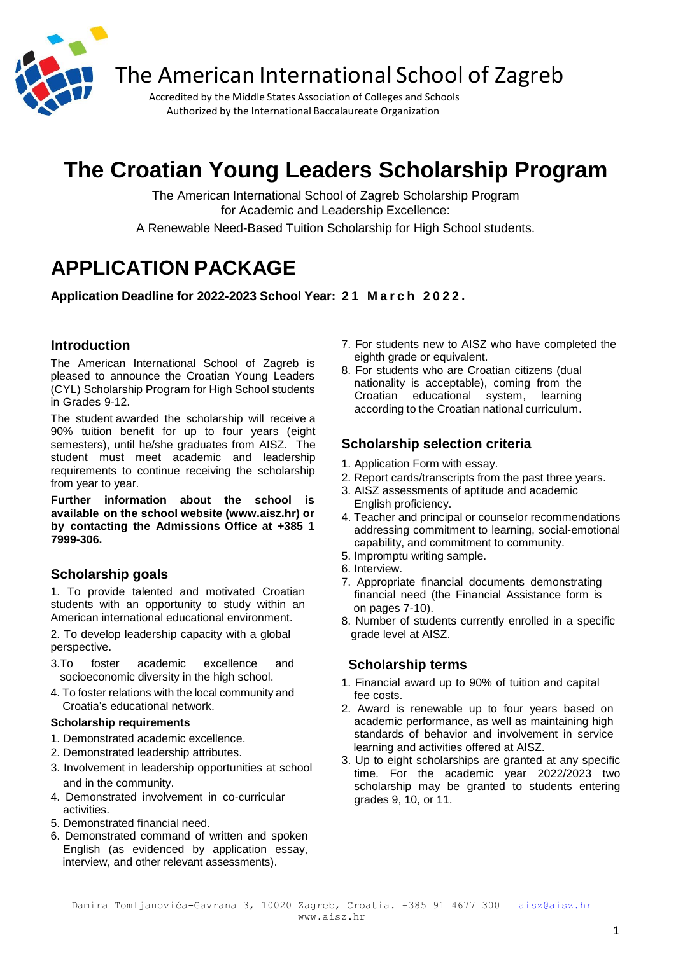

The American International School of Zagreb

Accredited by the Middle States Association of Colleges and Schools Authorized by the International Baccalaureate Organization

# **The Croatian Young Leaders Scholarship Program**

The American International School of Zagreb Scholarship Program for Academic and Leadership Excellence:

A Renewable Need-Based Tuition Scholarship for High School students.

## **APPLICATION PACKAGE**

**Application Deadline for 2022-2023 School Year: 2 1 M a r c h 2 0 2 2 .**

## **Introduction**

The American International School of Zagreb is pleased to announce the Croatian Young Leaders (CYL) Scholarship Program for High School students in Grades 9-12.

The student awarded the scholarship will receive a 90% tuition benefit for up to four years (eight semesters), until he/she graduates from AISZ. The student must meet academic and leadership requirements to continue receiving the scholarship from year to year.

**Further information about the school is available on the school website (www.aisz.hr) or by contacting the Admissions Office at +385 1 7999-306.**

## **Scholarship goals**

1. To provide talented and motivated Croatian students with an opportunity to study within an American international educational environment.

2. To develop leadership capacity with a global perspective.

- 3.To foster academic excellence and socioeconomic diversity in the high school.
- 4. To foster relations with the local community and Croatia's educational network.

#### **Scholarship requirements**

- 1. Demonstrated academic excellence.
- 2. Demonstrated leadership attributes.
- 3. Involvement in leadership opportunities at school and in the community.
- 4. Demonstrated involvement in co-curricular activities.
- 5. Demonstrated financial need.
- 6. Demonstrated command of written and spoken English (as evidenced by application essay, interview, and other relevant assessments).
- 7. For students new to AISZ who have completed the eighth grade or equivalent.
- 8. For students who are Croatian citizens (dual nationality is acceptable), coming from the Croatian educational system, learning according to the Croatian national curriculum.

## **Scholarship selection criteria**

- 1. Application Form with essay.
- 2. Report cards/transcripts from the past three years.
- 3. AISZ assessments of aptitude and academic English proficiency.
- 4. Teacher and principal or counselor recommendations addressing commitment to learning, social-emotional capability, and commitment to community.
- 5. Impromptu writing sample.
- 6. Interview.
- 7. Appropriate financial documents demonstrating financial need (the Financial Assistance form is on pages 7-10).
- 8. Number of students currently enrolled in a specific grade level at AISZ.

## **Scholarship terms**

- 1. Financial award up to 90% of tuition and capital fee costs.
- 2. Award is renewable up to four years based on academic performance, as well as maintaining high standards of behavior and involvement in service learning and activities offered at AISZ.
- 3. Up to eight scholarships are granted at any specific time. For the academic year 2022/2023 two scholarship may be granted to students entering grades 9, 10, or 11.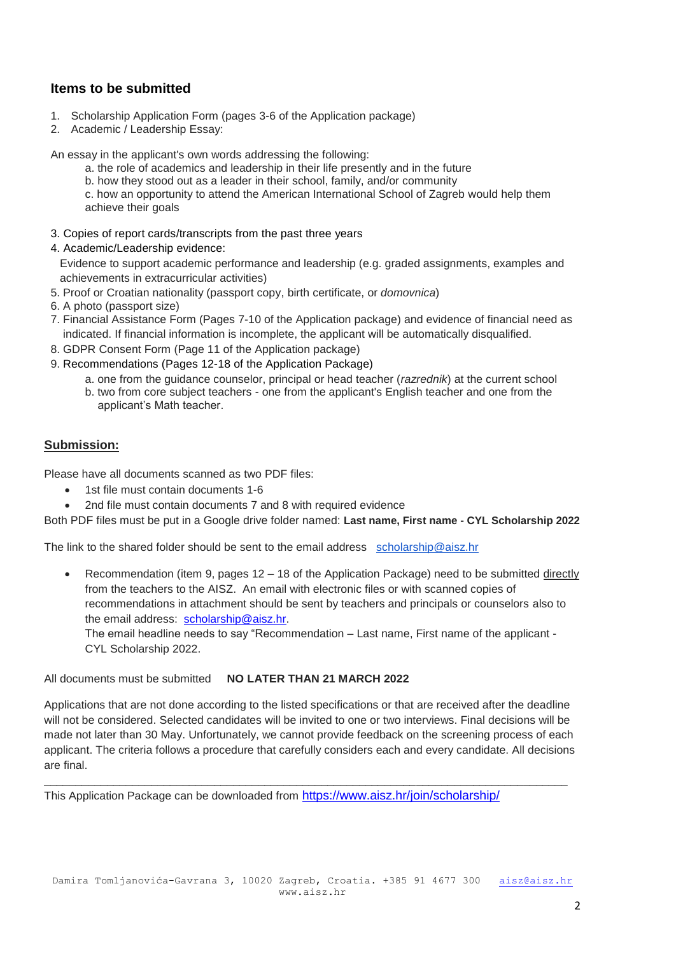## **Items to be submitted**

- 1. Scholarship Application Form (pages 3-6 of the Application package)
- 2. Academic / Leadership Essay:

An essay in the applicant's own words addressing the following:

- a. the role of academics and leadership in their life presently and in the future
- b. how they stood out as a leader in their school, family, and/or community

c. how an opportunity to attend the American International School of Zagreb would help them achieve their goals

3. Copies of report cards/transcripts from the past three years

#### 4. Academic/Leadership evidence:

 Evidence to support academic performance and leadership (e.g. graded assignments, examples and achievements in extracurricular activities)

- 5. Proof or Croatian nationality (passport copy, birth certificate, or *domovnica*)
- 6. A photo (passport size)
- 7. Financial Assistance Form (Pages 7-10 of the Application package) and evidence of financial need as indicated. If financial information is incomplete, the applicant will be automatically disqualified.
- 8. GDPR Consent Form (Page 11 of the Application package)
- 9. Recommendations (Pages 12-18 of the Application Package)
	- a. one from the guidance counselor, principal or head teacher (*razrednik*) at the current school
	- b. two from core subject teachers one from the applicant's English teacher and one from the applicant's Math teacher.

#### **Submission:**

Please have all documents scanned as two PDF files:

- 1st file must contain documents 1-6
- 2nd file must contain documents 7 and 8 with required evidence

Both PDF files must be put in a Google drive folder named: **Last name, First name - CYL Scholarship 2022**

The link to the shared folder should be sent to the email address [scholarship@aisz.hr](mailto:scholarship@aisz.hr)

**•** Recommendation (item 9, pages  $12 - 18$  of the Application Package) need to be submitted directly from the teachers to the AISZ. An email with electronic files or with scanned copies of recommendations in attachment should be sent by teachers and principals or counselors also to the email address: [scholarship@aisz.hr.](mailto:scholarship@aisz.hr)

The email headline needs to say "Recommendation – Last name, First name of the applicant - CYL Scholarship 2022.

All documents must be submitted **NO LATER THAN 21 MARCH 2022**

Applications that are not done according to the listed specifications or that are received after the deadline will not be considered. Selected candidates will be invited to one or two interviews. Final decisions will be made not later than 30 May. Unfortunately, we cannot provide feedback on the screening process of each applicant. The criteria follows a procedure that carefully considers each and every candidate. All decisions are final.

\_\_\_\_\_\_\_\_\_\_\_\_\_\_\_\_\_\_\_\_\_\_\_\_\_\_\_\_\_\_\_\_\_\_\_\_\_\_\_\_\_\_\_\_\_\_\_\_\_\_\_\_\_\_\_\_\_\_\_\_\_\_\_\_\_\_\_\_\_\_\_\_\_\_\_\_\_\_\_\_\_\_\_

This Application Package can be downloaded from <https://www.aisz.hr/join/scholarship/>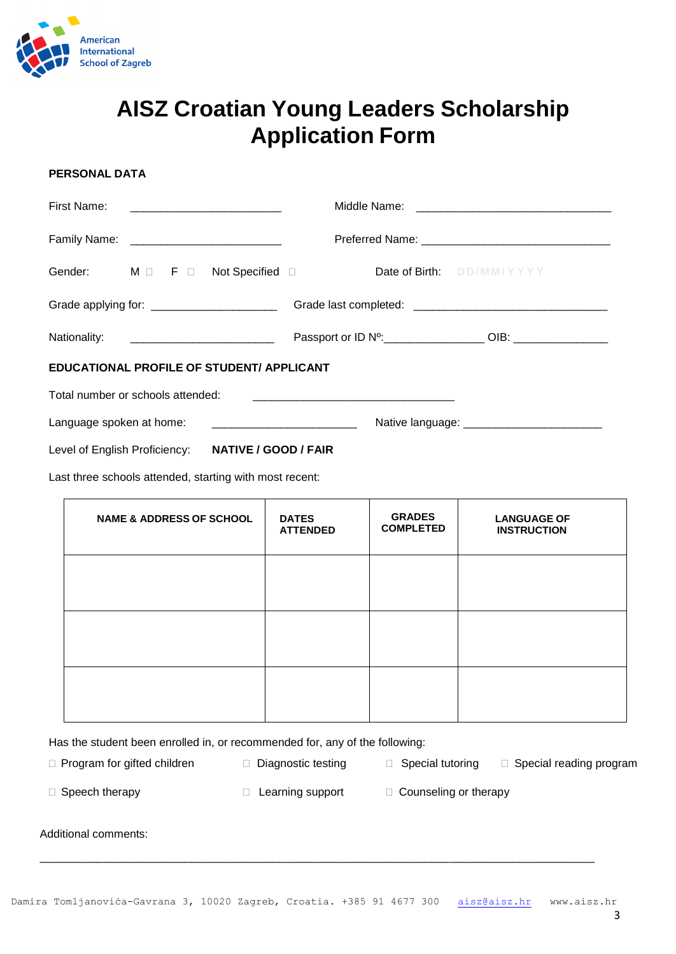

## **AISZ Croatian Young Leaders Scholarship Application Form**

#### **PERSONAL DATA**

| First Name:                                   |  |  |                                              |  |
|-----------------------------------------------|--|--|----------------------------------------------|--|
| Family Name: ___________________________      |  |  |                                              |  |
| Gender: M D F D Not Specified D               |  |  | Date of Birth: DD/MM/YYYY                    |  |
| Grade applying for: ________________________  |  |  |                                              |  |
| Nationality: <u>_________________________</u> |  |  | Passport or ID N <sup>o</sup> : 000 DM CODE: |  |
| EDUCATIONAL PROFILE OF STUDENT/ APPLICANT     |  |  |                                              |  |
| Total number or schools attended:             |  |  |                                              |  |
|                                               |  |  |                                              |  |

Level of English Proficiency: **NATIVE / GOOD / FAIR**

Last three schools attended, starting with most recent:

| <b>NAME &amp; ADDRESS OF SCHOOL</b> | <b>DATES</b><br><b>ATTENDED</b> | <b>GRADES</b><br><b>COMPLETED</b> | <b>LANGUAGE OF</b><br><b>INSTRUCTION</b> |
|-------------------------------------|---------------------------------|-----------------------------------|------------------------------------------|
|                                     |                                 |                                   |                                          |
|                                     |                                 |                                   |                                          |
|                                     |                                 |                                   |                                          |

Has the student been enrolled in, or recommended for, any of the following:

 $\Box$  Program for gifted children  $\Box$  Diagnostic testing  $\Box$  Special tutoring  $\Box$  Special reading program

 $\Box$  Speech therapy  $\Box$  Learning support  $\Box$  Counseling or therapy

Additional comments:

\_\_\_\_\_\_\_\_\_\_\_\_\_\_\_\_\_\_\_\_\_\_\_\_\_\_\_\_\_\_\_\_\_\_\_\_\_\_\_\_\_\_\_\_\_\_\_\_\_\_\_\_\_\_\_\_\_\_\_\_\_\_\_\_\_\_\_\_\_\_\_\_\_\_\_\_\_\_\_\_\_\_\_\_\_\_\_\_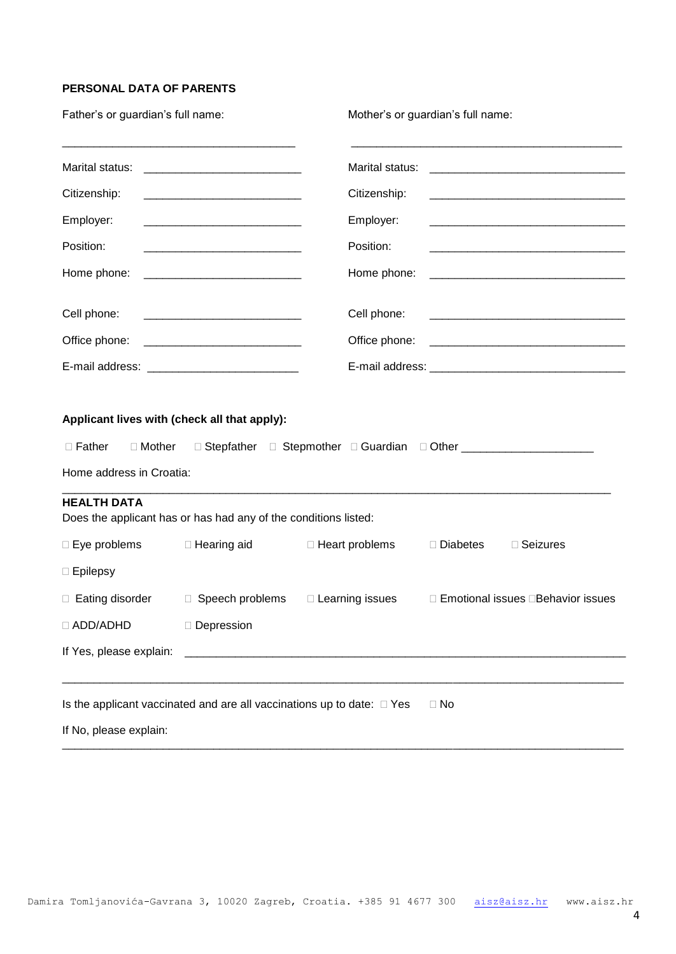#### **PERSONAL DATA OF PARENTS**

| Father's or guardian's full name:                                                                     |                                                                                                                                                                                                                                      |                                                                                  | Mother's or guardian's full name: |                                                                      |
|-------------------------------------------------------------------------------------------------------|--------------------------------------------------------------------------------------------------------------------------------------------------------------------------------------------------------------------------------------|----------------------------------------------------------------------------------|-----------------------------------|----------------------------------------------------------------------|
| Marital status:                                                                                       | <u> 2001 - Jan Samuel Barbara, menyebara tenagai pengaran pengaran pengaran pengaran pengaran pengaran pengaran pengaran pengaran pengaran pengaran pengaran pengaran pengaran pengaran pengaran pengaran pengaran pengaran peng</u> | Marital status:                                                                  |                                   |                                                                      |
| Citizenship:                                                                                          |                                                                                                                                                                                                                                      | Citizenship:                                                                     |                                   |                                                                      |
| Employer:                                                                                             |                                                                                                                                                                                                                                      | Employer:                                                                        |                                   |                                                                      |
| Position:                                                                                             |                                                                                                                                                                                                                                      | Position:                                                                        |                                   |                                                                      |
| Home phone:                                                                                           | <u> 1989 - Johann Barbara, martin da basar da basar da basar da basar da basar da basar da basar da basar da basa</u>                                                                                                                | Home phone:                                                                      |                                   | <u> 1989 - Johann Barn, mars an t-Amerikaansk politiker (* 1908)</u> |
| Cell phone:                                                                                           |                                                                                                                                                                                                                                      | Cell phone:                                                                      |                                   |                                                                      |
| Office phone:                                                                                         | <u> 2000 - Jan James James Barnett, amerikansk politik (</u>                                                                                                                                                                         | Office phone:                                                                    |                                   | <u> 2008 - Jan James James Barnett, amerikansk politik (d. 1888)</u> |
|                                                                                                       |                                                                                                                                                                                                                                      |                                                                                  |                                   |                                                                      |
| Applicant lives with (check all that apply):<br>$\Box$ Father<br>□ Mother<br>Home address in Croatia: |                                                                                                                                                                                                                                      | □ Stepfather □ Stepmother □ Guardian □ Other ___________________________________ |                                   |                                                                      |
| <b>HEALTH DATA</b>                                                                                    | Does the applicant has or has had any of the conditions listed:                                                                                                                                                                      |                                                                                  |                                   |                                                                      |
| □ Eye problems                                                                                        | □ Hearing aid                                                                                                                                                                                                                        | □ Heart problems                                                                 | $\Box$ Diabetes                   | □ Seizures                                                           |
| $\Box$ Epilepsy                                                                                       |                                                                                                                                                                                                                                      |                                                                                  |                                   |                                                                      |
| □ Eating disorder                                                                                     | □ Speech problems                                                                                                                                                                                                                    | □ Learning issues                                                                |                                   | □ Emotional issues □ Behavior issues                                 |
| □ ADD/ADHD                                                                                            | Depression                                                                                                                                                                                                                           |                                                                                  |                                   |                                                                      |
| If Yes, please explain:                                                                               |                                                                                                                                                                                                                                      | <u> 1980 - Johann Barn, fransk politik (d. 1980)</u>                             |                                   |                                                                      |
|                                                                                                       | Is the applicant vaccinated and are all vaccinations up to date: $\Box$ Yes                                                                                                                                                          |                                                                                  | $\Box$ No                         |                                                                      |
| If No, please explain:                                                                                |                                                                                                                                                                                                                                      |                                                                                  |                                   |                                                                      |

\_\_\_\_\_\_\_\_\_\_\_\_\_\_\_\_\_\_\_\_\_\_\_\_\_\_\_\_\_\_\_\_\_\_\_\_\_\_\_\_\_\_\_\_\_\_\_\_\_\_\_\_\_\_\_\_\_\_\_\_\_\_\_\_\_\_\_\_\_\_\_\_\_\_\_\_\_\_\_\_\_\_\_\_\_\_\_\_\_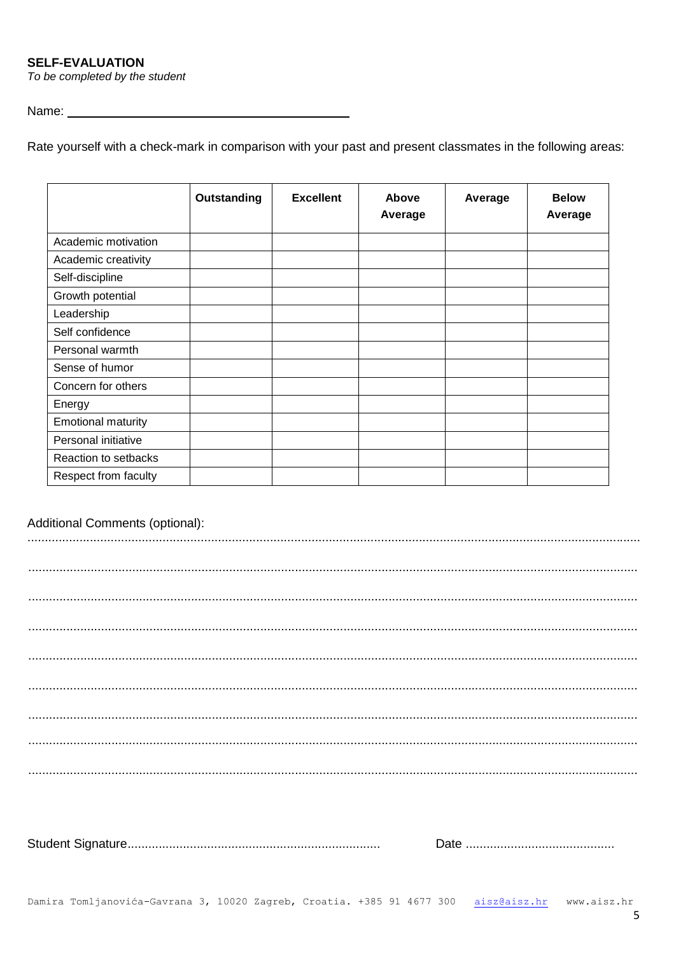**SELF-EVALUATION** 

To be completed by the student

#### Name: <u>University of the Community of the Community of the Community of the Community of the Community of the Community of the Community of the Community of the Community of the Community of the Community of the Community </u>

Rate yourself with a check-mark in comparison with your past and present classmates in the following areas:

|                           | <b>Outstanding</b> | <b>Excellent</b> | Above<br>Average | Average | <b>Below</b><br>Average |
|---------------------------|--------------------|------------------|------------------|---------|-------------------------|
| Academic motivation       |                    |                  |                  |         |                         |
| Academic creativity       |                    |                  |                  |         |                         |
| Self-discipline           |                    |                  |                  |         |                         |
| Growth potential          |                    |                  |                  |         |                         |
| Leadership                |                    |                  |                  |         |                         |
| Self confidence           |                    |                  |                  |         |                         |
| Personal warmth           |                    |                  |                  |         |                         |
| Sense of humor            |                    |                  |                  |         |                         |
| Concern for others        |                    |                  |                  |         |                         |
| Energy                    |                    |                  |                  |         |                         |
| <b>Emotional maturity</b> |                    |                  |                  |         |                         |
| Personal initiative       |                    |                  |                  |         |                         |
| Reaction to setbacks      |                    |                  |                  |         |                         |
| Respect from faculty      |                    |                  |                  |         |                         |

### Additional Comments (optional):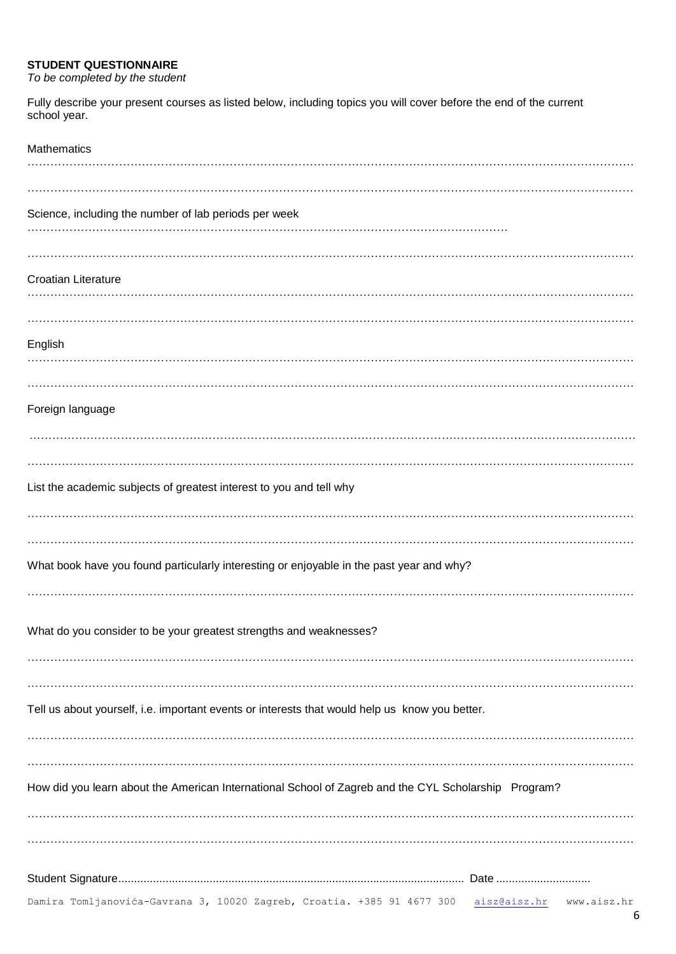#### **STUDENT QUESTIONNAIRE**

*To be completed by the student*

Fully describe your present courses as listed below, including topics you will cover before the end of the current school year.

| <b>Mathematics</b>                                                                                    |
|-------------------------------------------------------------------------------------------------------|
|                                                                                                       |
| Science, including the number of lab periods per week                                                 |
|                                                                                                       |
| <b>Croatian Literature</b>                                                                            |
|                                                                                                       |
|                                                                                                       |
| English                                                                                               |
|                                                                                                       |
| Foreign language                                                                                      |
|                                                                                                       |
|                                                                                                       |
| List the academic subjects of greatest interest to you and tell why                                   |
|                                                                                                       |
|                                                                                                       |
| What book have you found particularly interesting or enjoyable in the past year and why?              |
|                                                                                                       |
| What do you consider to be your greatest strengths and weaknesses?                                    |
|                                                                                                       |
|                                                                                                       |
| Tell us about yourself, i.e. important events or interests that would help us know you better.        |
|                                                                                                       |
| How did you learn about the American International School of Zagreb and the CYL Scholarship Program?  |
|                                                                                                       |
|                                                                                                       |
|                                                                                                       |
|                                                                                                       |
| Damira Tomljanovića-Gavrana 3, 10020 Zagreb, Croatia. +385 91 4677 300<br>aisz@aisz.hr<br>www.aisz.hr |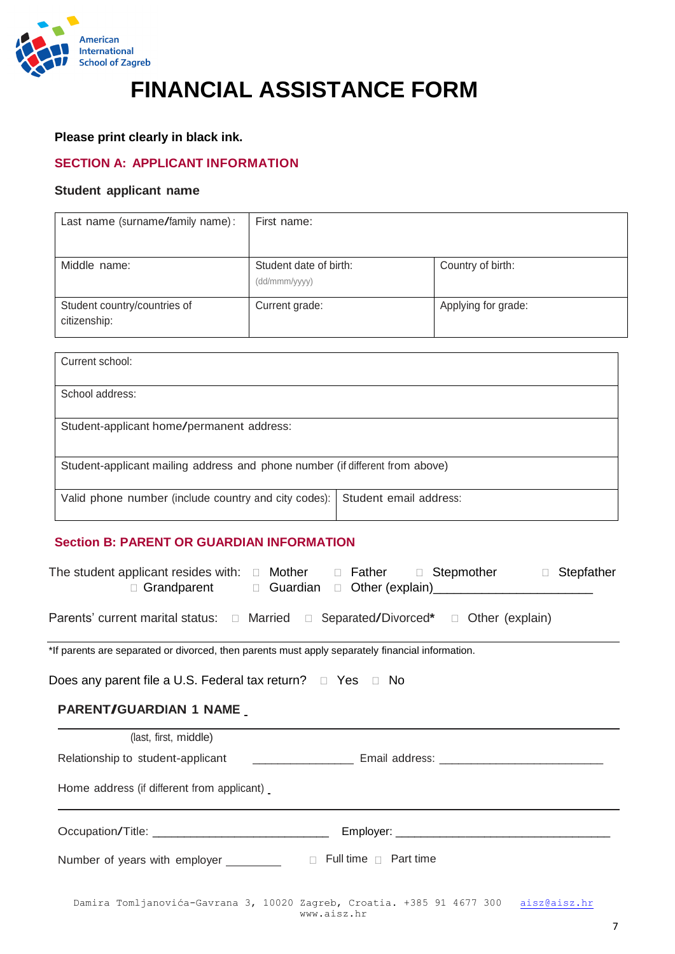

# **FINANCIAL ASSISTANCE FORM**

#### **Please print clearly in black ink.**

## **SECTION A: APPLICANT INFORMATION**

#### **Student applicant name**

| Last name (surname/family name):             | First name:                             |                     |
|----------------------------------------------|-----------------------------------------|---------------------|
| Middle name:                                 | Student date of birth:<br>(dd/mmm/yyyy) | Country of birth:   |
| Student country/countries of<br>citizenship: | Current grade:                          | Applying for grade: |

| Current school:                                                              |                        |
|------------------------------------------------------------------------------|------------------------|
| School address:                                                              |                        |
| Student-applicant home/permanent address:                                    |                        |
| Student-applicant mailing address and phone number (if different from above) |                        |
|                                                                              |                        |
| Valid phone number (include country and city codes):                         | Student email address: |

## **Section B: PARENT OR GUARDIAN INFORMATION**

| The student applicant resides with: $\Box$ Mother $\Box$ Father $\Box$ Stepmother $\Box$ Stepfather<br>□ Grandparent □ Guardian □ Other (explain)<br>□ Grandparent □ Guardian □ Other (explain) |  |
|-------------------------------------------------------------------------------------------------------------------------------------------------------------------------------------------------|--|
| Parents' current marital status: □ Married □ Separated/Divorced* □ Other (explain)                                                                                                              |  |
| *If parents are separated or divorced, then parents must apply separately financial information.                                                                                                |  |
| Does any parent file a U.S. Federal tax return? $\Box$ Yes $\Box$ No                                                                                                                            |  |
| PARENT/GUARDIAN 1 NAME                                                                                                                                                                          |  |
| (last, first, middle)                                                                                                                                                                           |  |
|                                                                                                                                                                                                 |  |
| Home address (if different from applicant)                                                                                                                                                      |  |
| Occupation/Title: ________________________________                                                                                                                                              |  |
| $\Box$ Full time $\Box$ Part time<br>Number of years with employer ________                                                                                                                     |  |
| $\mathcal{L}$ , and a set of $\mathcal{L}$ , and $\mathcal{L}$ and $\mathcal{L}$ and $\mathcal{L}$ and $\mathcal{L}$ and $\mathcal{L}$                                                          |  |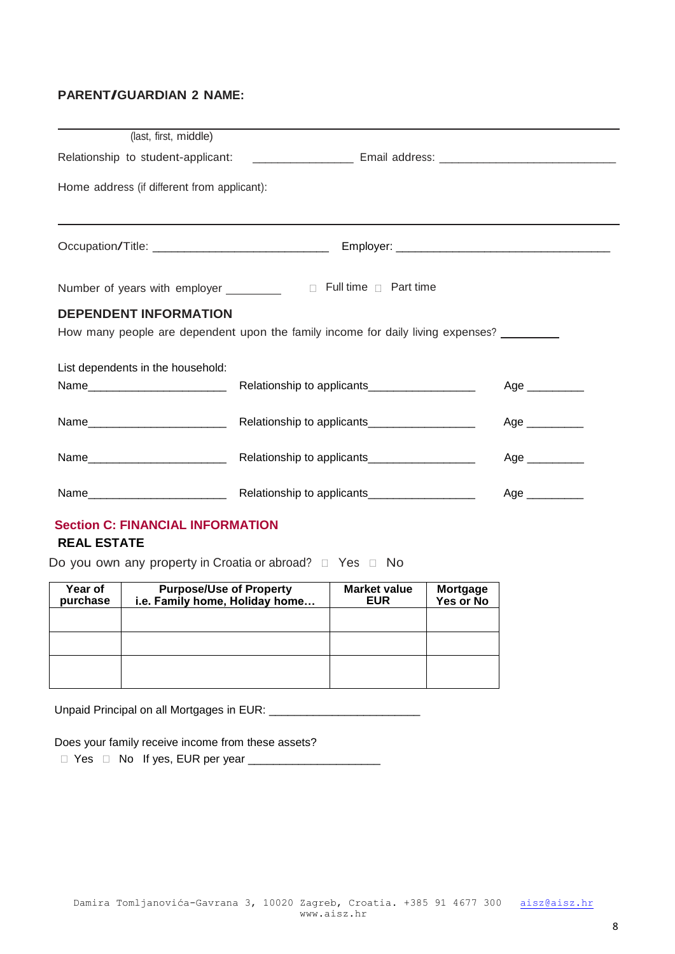## **PARENT/GUARDIAN <sup>2</sup> NAME:**

| (last, first, middle)                       |                                                                                                                |                              |
|---------------------------------------------|----------------------------------------------------------------------------------------------------------------|------------------------------|
|                                             | Relationship to student-applicant: __________________________ Email address: _________________________________ |                              |
| Home address (if different from applicant): |                                                                                                                |                              |
|                                             |                                                                                                                |                              |
| Number of years with employer _________     | $\Box$ Full time $\Box$ Part time                                                                              |                              |
| <b>DEPENDENT INFORMATION</b>                | How many people are dependent upon the family income for daily living expenses? ________                       |                              |
| List dependents in the household:           |                                                                                                                | Age __________               |
|                                             |                                                                                                                | Age __________               |
|                                             |                                                                                                                | Age $\_\_\_\_\_\_\_\_\_\_\_$ |
|                                             |                                                                                                                | Age $\_\_$                   |

## **Section C: FINANCIAL INFORMATION**

## **REAL ESTATE**

Do you own any property in Croatia or abroad? Yes No

| Year of<br>purchase | <b>Purpose/Use of Property</b><br>i.e. Family home, Holiday home | <b>Market value</b><br><b>EUR</b> | <b>Mortgage</b><br>Yes or No |
|---------------------|------------------------------------------------------------------|-----------------------------------|------------------------------|
|                     |                                                                  |                                   |                              |
|                     |                                                                  |                                   |                              |
|                     |                                                                  |                                   |                              |

Unpaid Principal on all Mortgages in EUR: \_\_\_\_\_\_\_\_\_\_\_\_\_\_\_\_\_\_\_\_\_\_\_\_

Does your family receive income from these assets?

Yes No If yes, EUR per year \_\_\_\_\_\_\_\_\_\_\_\_\_\_\_\_\_\_\_\_\_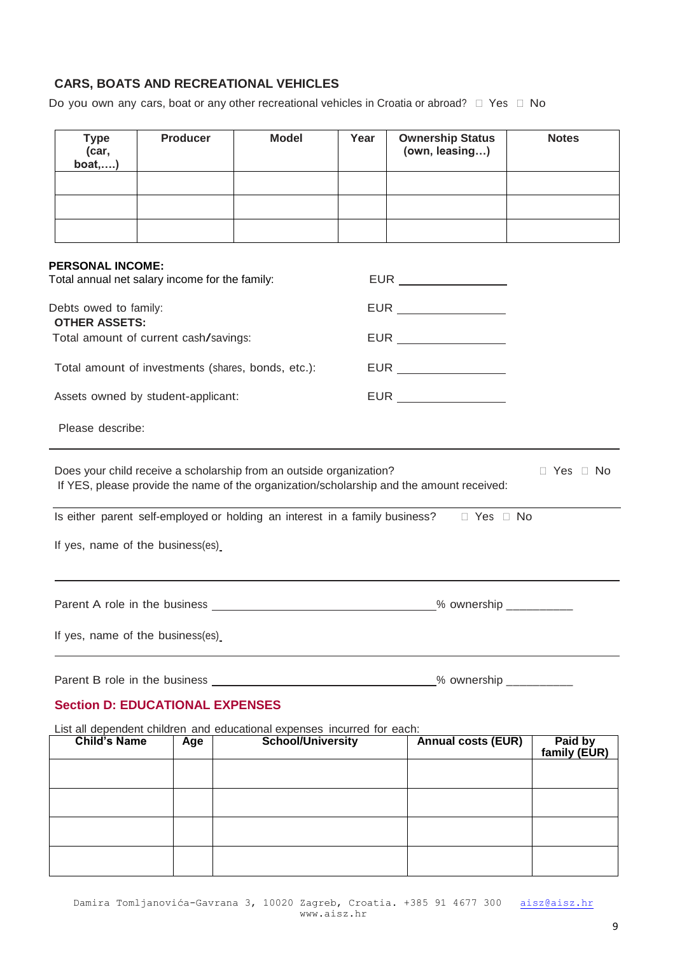## **CARS, BOATS AND RECREATIONAL VEHICLES**

Do you own any cars, boat or any other recreational vehicles in Croatia or abroad?  $\Box$  Yes  $\Box$  No

| <b>Type</b><br>(car,<br>boat,                 | <b>Producer</b>                                    | <b>Model</b>                                                                                        | Year | <b>Ownership Status</b><br>(own, leasing)                                                | <b>Notes</b>            |
|-----------------------------------------------|----------------------------------------------------|-----------------------------------------------------------------------------------------------------|------|------------------------------------------------------------------------------------------|-------------------------|
|                                               |                                                    |                                                                                                     |      |                                                                                          |                         |
|                                               |                                                    |                                                                                                     |      |                                                                                          |                         |
|                                               |                                                    |                                                                                                     |      |                                                                                          |                         |
| <b>PERSONAL INCOME:</b>                       |                                                    |                                                                                                     |      |                                                                                          |                         |
|                                               | Total annual net salary income for the family:     |                                                                                                     |      |                                                                                          |                         |
| Debts owed to family:<br><b>OTHER ASSETS:</b> |                                                    |                                                                                                     |      | EUR _________________                                                                    |                         |
|                                               | Total amount of current cash/savings:              |                                                                                                     |      | EUR __________________                                                                   |                         |
|                                               | Total amount of investments (shares, bonds, etc.): |                                                                                                     |      | EUR ________________                                                                     |                         |
|                                               | Assets owned by student-applicant:                 |                                                                                                     |      |                                                                                          |                         |
| Please describe:                              |                                                    |                                                                                                     |      |                                                                                          |                         |
|                                               |                                                    | Does your child receive a scholarship from an outside organization?                                 |      | If YES, please provide the name of the organization/scholarship and the amount received: | $\Box$ Yes $\Box$ No    |
|                                               |                                                    | Is either parent self-employed or holding an interest in a family business?                         |      | $\Box$ Yes $\Box$ No                                                                     |                         |
|                                               | If yes, name of the business(es)                   |                                                                                                     |      |                                                                                          |                         |
|                                               |                                                    |                                                                                                     |      |                                                                                          |                         |
|                                               |                                                    |                                                                                                     |      |                                                                                          |                         |
|                                               | If yes, name of the business(es)                   |                                                                                                     |      |                                                                                          |                         |
|                                               |                                                    |                                                                                                     |      | % ownership ___________                                                                  |                         |
|                                               | <b>Section D: EDUCATIONAL EXPENSES</b>             |                                                                                                     |      |                                                                                          |                         |
|                                               |                                                    |                                                                                                     |      |                                                                                          |                         |
| <b>Child's Name</b>                           | Age                                                | List all dependent children and educational expenses incurred for each:<br><b>School/University</b> |      | <b>Annual costs (EUR)</b>                                                                | Paid by<br>family (EUR) |
|                                               |                                                    |                                                                                                     |      |                                                                                          |                         |
|                                               |                                                    |                                                                                                     |      |                                                                                          |                         |
|                                               |                                                    |                                                                                                     |      |                                                                                          |                         |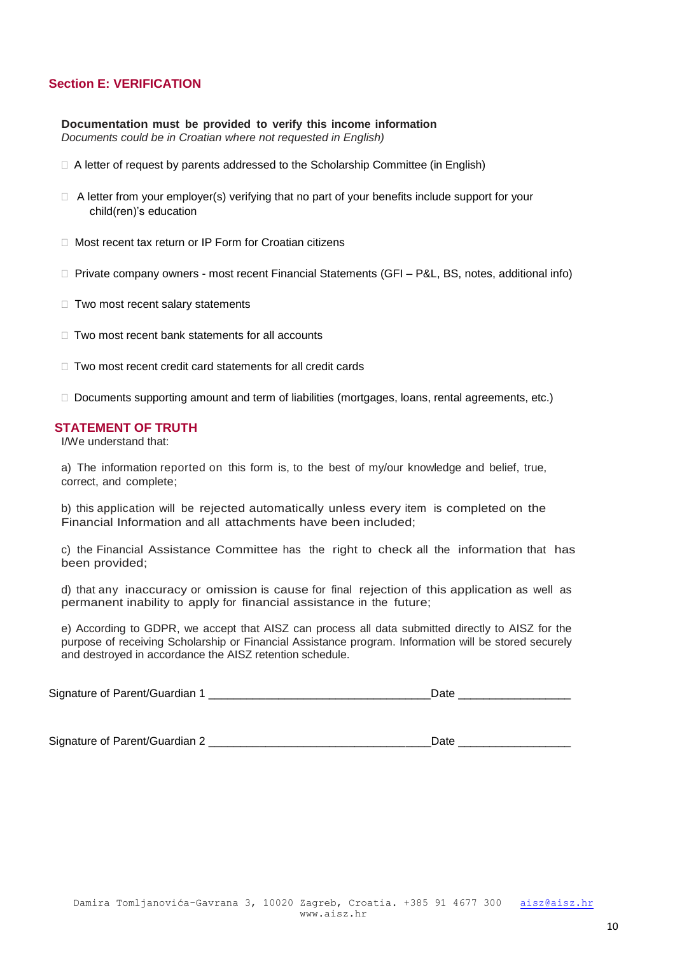#### **Section E: VERIFICATION**

**Documentation must be provided to verify this income information** *Documents could be in Croatian where not requested in English)*

- $\Box$  A letter of request by parents addressed to the Scholarship Committee (in English)
- $\Box$  A letter from your employer(s) verifying that no part of your benefits include support for your child(ren)'s education
- □ Most recent tax return or IP Form for Croatian citizens
- □ Private company owners most recent Financial Statements (GFI P&L, BS, notes, additional info)
- $\Box$  Two most recent salary statements
- $\Box$  Two most recent bank statements for all accounts
- $\Box$  Two most recent credit card statements for all credit cards

□ Documents supporting amount and term of liabilities (mortgages, loans, rental agreements, etc.)

#### **STATEMENT OF TRUTH**

I/We understand that:

a) The information reported on this form is, to the best of my/our knowledge and belief, true, correct, and complete;

b) this application will be rejected automatically unless every item is completed on the Financial Information and all attachments have been included;

c) the Financial Assistance Committee has the right to check all the information that has been provided;

d) that any inaccuracy or omission is cause for final rejection of this application as well as permanent inability to apply for financial assistance in the future;

e) According to GDPR, we accept that AISZ can process all data submitted directly to AISZ for the purpose of receiving Scholarship or Financial Assistance program. Information will be stored securely and destroyed in accordance the AISZ retention schedule.

|  | Signature of Parent/Guardian |  |
|--|------------------------------|--|
|--|------------------------------|--|

Signature of Parent/Guardian 2 \_\_\_\_\_\_\_\_\_\_\_\_\_\_\_\_\_\_\_\_\_\_\_\_\_\_\_\_\_\_\_\_\_\_\_Date \_\_\_\_\_\_\_\_\_\_\_\_\_\_\_\_\_\_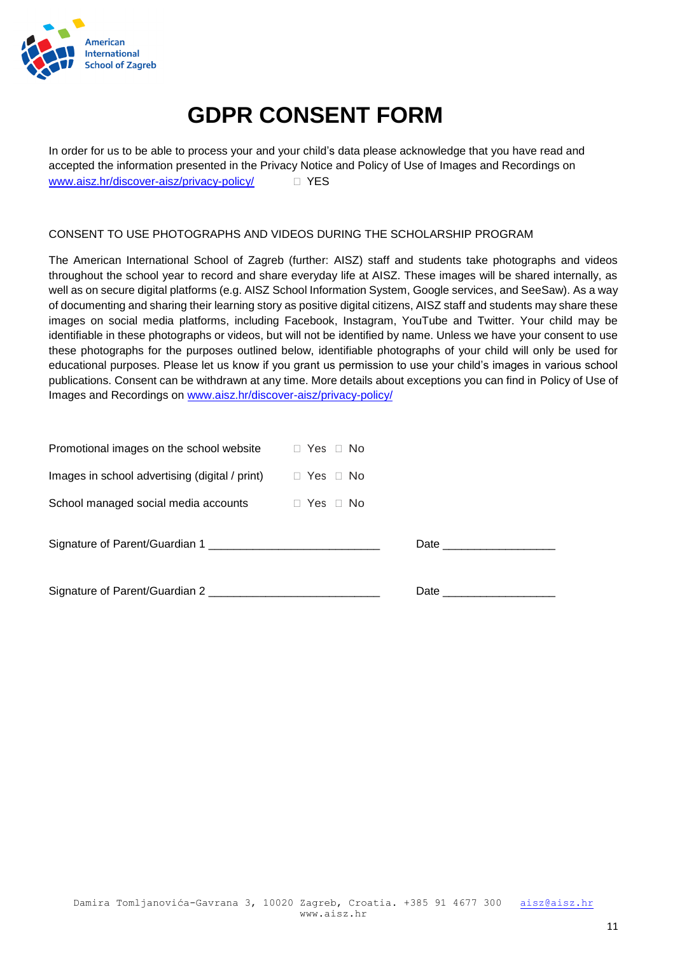

# **GDPR CONSENT FORM**

In order for us to be able to process your and your child's data please acknowledge that you have read and accepted the information presented in the Privacy Notice and Policy of Use of Images and Recordings on [www.aisz.hr/discover-aisz/privacy-policy/](http://www.aisz.hr/discover-aisz/privacy-policy/)  $\square$  YES

#### CONSENT TO USE PHOTOGRAPHS AND VIDEOS DURING THE SCHOLARSHIP PROGRAM

The American International School of Zagreb (further: AISZ) staff and students take photographs and videos throughout the school year to record and share everyday life at AISZ. These images will be shared internally, as well as on secure digital platforms (e.g. AISZ School Information System, Google services, and SeeSaw). As a way of documenting and sharing their learning story as positive digital citizens, AISZ staff and students may share these images on social media platforms, including Facebook, Instagram, YouTube and Twitter. Your child may be identifiable in these photographs or videos, but will not be identified by name. Unless we have your consent to use these photographs for the purposes outlined below, identifiable photographs of your child will only be used for educational purposes. Please let us know if you grant us permission to use your child's images in various school publications. Consent can be withdrawn at any time. More details about exceptions you can find in Policy of Use of Images and Recordings on [www.aisz.hr/discover-aisz/privacy-policy/](http://www.aisz.hr/discover-aisz/privacy-policy/)

| Promotional images on the school website $\Box$ Yes $\Box$ No       |  |
|---------------------------------------------------------------------|--|
| Images in school advertising (digital / print) $\Box$ Yes $\Box$ No |  |
| School managed social media accounts $\Box$ Yes $\Box$ No           |  |
|                                                                     |  |
| Signature of Parent/Guardian 2                                      |  |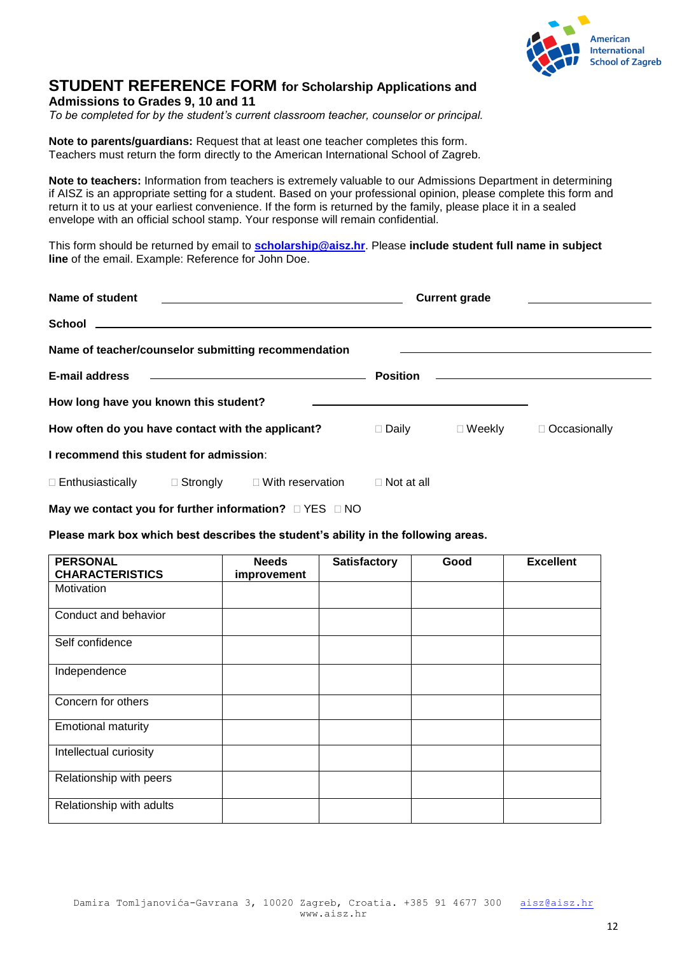

## **STUDENT REFERENCE FORM for Scholarship Applications and**

**Admissions to Grades 9, 10 and 11**

*To be completed for by the student's current classroom teacher, counselor or principal.*

**Note to parents/guardians:** Request that at least one teacher completes this form. Teachers must return the form directly to the American International School of Zagreb.

**Note to teachers:** Information from teachers is extremely valuable to our Admissions Department in determining if AISZ is an appropriate setting for a student. Based on your professional opinion, please complete this form and return it to us at your earliest convenience. If the form is returned by the family, please place it in a sealed envelope with an official school stamp. Your response will remain confidential.

This form should be returned by email to **[scholarship@aisz.hr](mailto:scholarship@aisz.hr)**. Please **include student full name in subject line** of the email. Example: Reference for John Doe.

| Name of student<br>the control of the control of the control of the control of the control of the control of                            |                                                           | <b>Current grade</b>    |                   |                |                                                                     |
|-----------------------------------------------------------------------------------------------------------------------------------------|-----------------------------------------------------------|-------------------------|-------------------|----------------|---------------------------------------------------------------------|
| <b>School</b>                                                                                                                           | <u> 1989 - John Stein, Amerikaansk politiker (* 1958)</u> |                         |                   |                |                                                                     |
| Name of teacher/counselor submitting recommendation                                                                                     |                                                           |                         |                   |                |                                                                     |
| E-mail address<br><u> 1989 - Jan Barnett, fransk kongresu og den som andre og den som andre og den som andre og den som andre og de</u> |                                                           |                         | <b>Position</b>   |                | <u> 1989 - Johann Stein, mars an deus Amerikaansk kommunister (</u> |
| How long have you known this student?                                                                                                   |                                                           |                         |                   |                |                                                                     |
| How often do you have contact with the applicant?                                                                                       |                                                           | $\Box$ Daily            | $\Box$ Weekly     | □ Occasionally |                                                                     |
| I recommend this student for admission:                                                                                                 |                                                           |                         |                   |                |                                                                     |
| $\Box$ Enthusiastically                                                                                                                 | $\Box$ Strongly                                           | $\Box$ With reservation | $\Box$ Not at all |                |                                                                     |

**May we contact you for further information?**  $\Box$  YES  $\Box$  NO

#### **Please mark box which best describes the student's ability in the following areas.**

| <b>PERSONAL</b><br><b>CHARACTERISTICS</b> | <b>Needs</b><br>improvement | <b>Satisfactory</b> | Good | <b>Excellent</b> |
|-------------------------------------------|-----------------------------|---------------------|------|------------------|
| Motivation                                |                             |                     |      |                  |
| Conduct and behavior                      |                             |                     |      |                  |
| Self confidence                           |                             |                     |      |                  |
| Independence                              |                             |                     |      |                  |
| Concern for others                        |                             |                     |      |                  |
| <b>Emotional maturity</b>                 |                             |                     |      |                  |
| Intellectual curiosity                    |                             |                     |      |                  |
| Relationship with peers                   |                             |                     |      |                  |
| Relationship with adults                  |                             |                     |      |                  |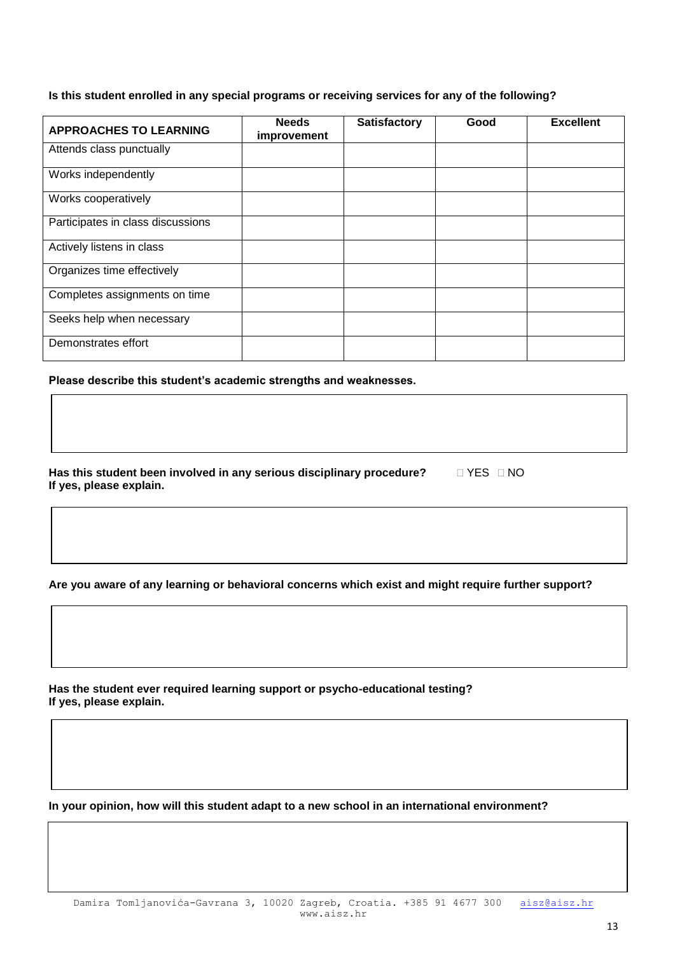#### **Is this student enrolled in any special programs or receiving services for any of the following?**

| <b>APPROACHES TO LEARNING</b>     | <b>Needs</b><br>improvement | <b>Satisfactory</b> | Good | <b>Excellent</b> |
|-----------------------------------|-----------------------------|---------------------|------|------------------|
| Attends class punctually          |                             |                     |      |                  |
| Works independently               |                             |                     |      |                  |
| Works cooperatively               |                             |                     |      |                  |
| Participates in class discussions |                             |                     |      |                  |
| Actively listens in class         |                             |                     |      |                  |
| Organizes time effectively        |                             |                     |      |                  |
| Completes assignments on time     |                             |                     |      |                  |
| Seeks help when necessary         |                             |                     |      |                  |
| Demonstrates effort               |                             |                     |      |                  |

**Please describe this student's academic strengths and weaknesses.** 

Has this student been involved in any serious disciplinary procedure? **If**  $\Box$  **YES**  $\Box$  **NO If yes, please explain.**

**Are you aware of any learning or behavioral concerns which exist and might require further support?**

**Has the student ever required learning support or psycho-educational testing? If yes, please explain.**

**In your opinion, how will this student adapt to a new school in an international environment?**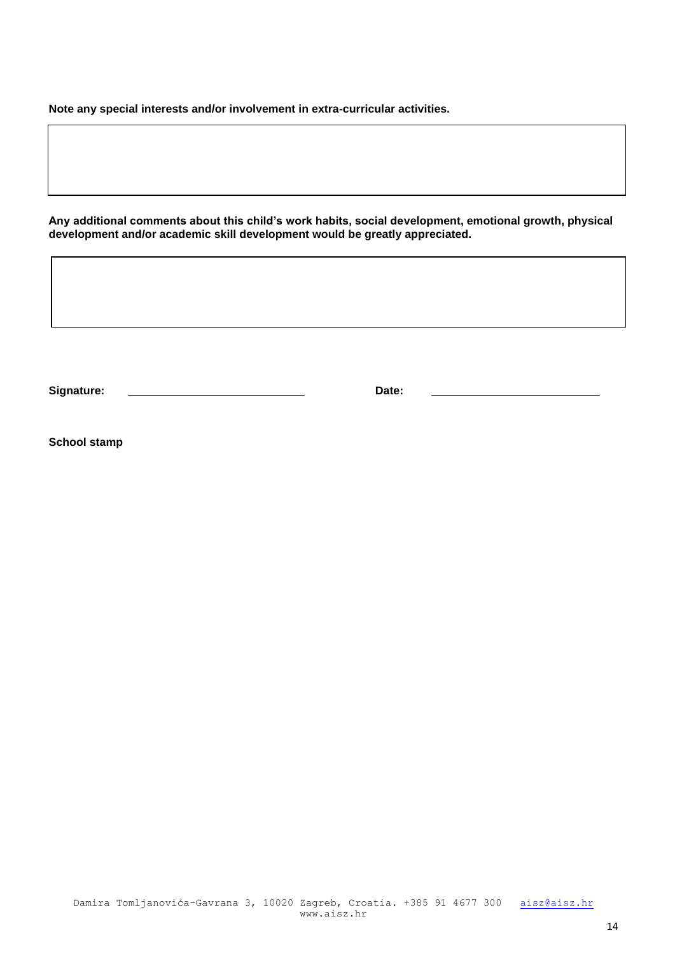**Note any special interests and/or involvement in extra-curricular activities.**

**Signature: Date:**

**Any additional comments about this child's work habits, social development, emotional growth, physical development and/or academic skill development would be greatly appreciated.**

**School stamp**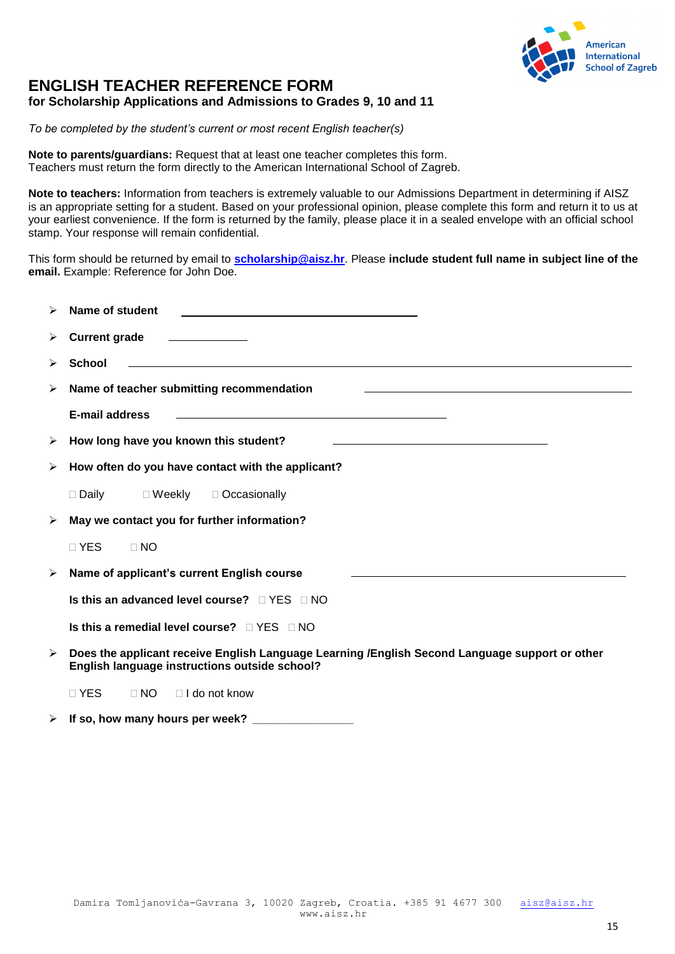

## **ENGLISH TEACHER REFERENCE FORM for Scholarship Applications and Admissions to Grades 9, 10 and 11**

*To be completed by the student's current or most recent English teacher(s)*

**Note to parents/guardians:** Request that at least one teacher completes this form. Teachers must return the form directly to the American International School of Zagreb.

**Note to teachers:** Information from teachers is extremely valuable to our Admissions Department in determining if AISZ is an appropriate setting for a student. Based on your professional opinion, please complete this form and return it to us at your earliest convenience. If the form is returned by the family, please place it in a sealed envelope with an official school stamp. Your response will remain confidential.

This form should be returned by email to **[scholarship@aisz.hr](mailto:scholarship@aisz.hr)**. Please **include student full name in subject line of the email.** Example: Reference for John Doe.

| ➤                     | Name of student                                                                                                                                                   |
|-----------------------|-------------------------------------------------------------------------------------------------------------------------------------------------------------------|
| ➤                     | <b>Current grade</b><br><u> 1989 - Andrea State Barbara, poeta esp</u>                                                                                            |
| ➤                     | <b>School</b>                                                                                                                                                     |
| ➤                     | Name of teacher submitting recommendation<br><u> 1989 - Andrea Santa Andrea Andrea Andrea Andrea Andrea Andrea Andrea Andrea Andrea Andrea Andrea Andrea Andr</u> |
|                       | E-mail address                                                                                                                                                    |
| ➤                     | How long have you known this student?<br>the control of the control of the control of the control of the control of the control of                                |
| ➤                     | How often do you have contact with the applicant?                                                                                                                 |
|                       | □ Daily □ Weekly □ Occasionally                                                                                                                                   |
| $\blacktriangleright$ | May we contact you for further information?                                                                                                                       |
|                       | $\Box$ YES<br>$\Box$ NO                                                                                                                                           |
| ➤                     | Name of applicant's current English course                                                                                                                        |
|                       | Is this an advanced level course? $\Box$ YES $\Box$ NO                                                                                                            |
|                       | Is this a remedial level course? $\Box$ YES $\Box$ NO                                                                                                             |
| $\blacktriangleright$ | Does the applicant receive English Language Learning /English Second Language support or other<br>English language instructions outside school?                   |
|                       | $\sqcap$ YES<br>$\Box$ NO<br>$\Box$ I do not know                                                                                                                 |

 $\triangleright$  If so, how many hours per week?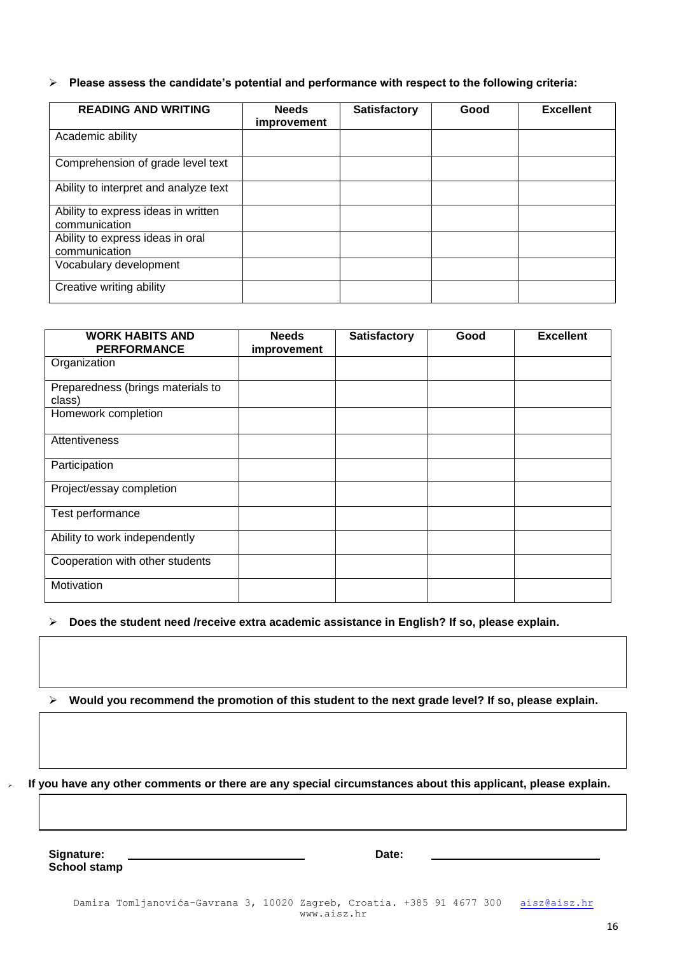**Please assess the candidate's potential and performance with respect to the following criteria:**

| <b>READING AND WRITING</b>                           | <b>Needs</b><br>improvement | <b>Satisfactory</b> | Good | <b>Excellent</b> |
|------------------------------------------------------|-----------------------------|---------------------|------|------------------|
| Academic ability                                     |                             |                     |      |                  |
| Comprehension of grade level text                    |                             |                     |      |                  |
| Ability to interpret and analyze text                |                             |                     |      |                  |
| Ability to express ideas in written<br>communication |                             |                     |      |                  |
| Ability to express ideas in oral<br>communication    |                             |                     |      |                  |
| Vocabulary development                               |                             |                     |      |                  |
| Creative writing ability                             |                             |                     |      |                  |

| <b>WORK HABITS AND</b><br><b>PERFORMANCE</b> | <b>Needs</b><br>improvement | <b>Satisfactory</b> | Good | <b>Excellent</b> |
|----------------------------------------------|-----------------------------|---------------------|------|------------------|
| Organization                                 |                             |                     |      |                  |
| Preparedness (brings materials to<br>class)  |                             |                     |      |                  |
| Homework completion                          |                             |                     |      |                  |
| Attentiveness                                |                             |                     |      |                  |
| Participation                                |                             |                     |      |                  |
| Project/essay completion                     |                             |                     |      |                  |
| Test performance                             |                             |                     |      |                  |
| Ability to work independently                |                             |                     |      |                  |
| Cooperation with other students              |                             |                     |      |                  |
| Motivation                                   |                             |                     |      |                  |

**Does the student need /receive extra academic assistance in English? If so, please explain.**

**Would you recommend the promotion of this student to the next grade level? If so, please explain.**

**If you have any other comments or there are any special circumstances about this applicant, please explain.** 

**Signature: Date: School stamp**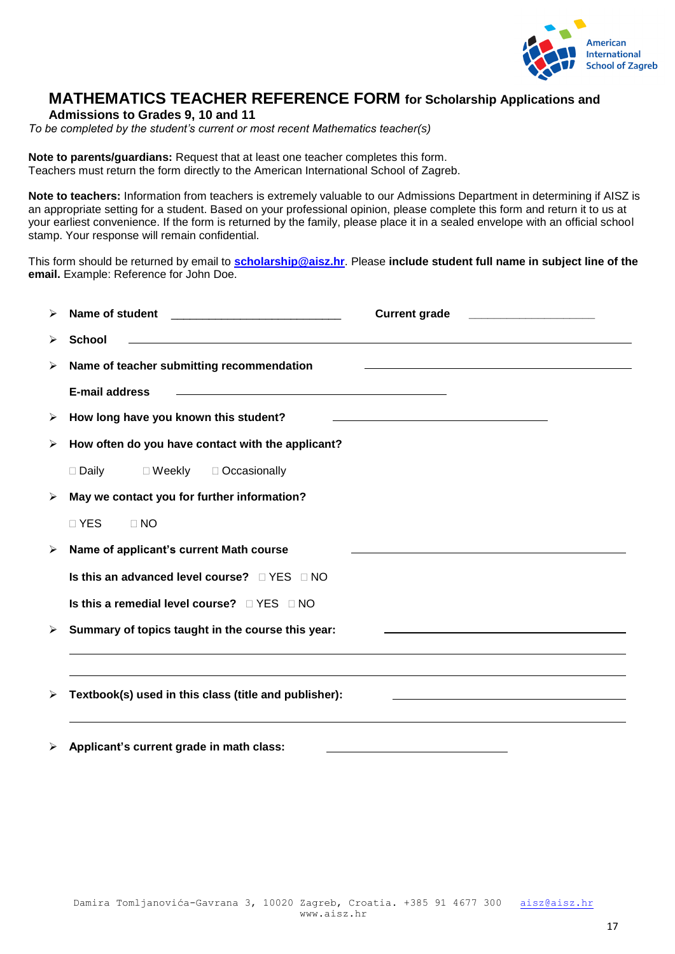

## **MATHEMATICS TEACHER REFERENCE FORM for Scholarship Applications and**

**Admissions to Grades 9, 10 and 11**

*To be completed by the student's current or most recent Mathematics teacher(s)*

**Note to parents/guardians:** Request that at least one teacher completes this form. Teachers must return the form directly to the American International School of Zagreb.

**Note to teachers:** Information from teachers is extremely valuable to our Admissions Department in determining if AISZ is an appropriate setting for a student. Based on your professional opinion, please complete this form and return it to us at your earliest convenience. If the form is returned by the family, please place it in a sealed envelope with an official school stamp. Your response will remain confidential.

This form should be returned by email to **[scholarship@aisz.hr](mailto:scholarship@aisz.hr)**. Please **include student full name in subject line of the email.** Example: Reference for John Doe.

| ↘                     | Name of student                                                                                                                               | <b>Current grade</b>                                                                                                                                                                                                          |
|-----------------------|-----------------------------------------------------------------------------------------------------------------------------------------------|-------------------------------------------------------------------------------------------------------------------------------------------------------------------------------------------------------------------------------|
| ➤                     | <b>School</b>                                                                                                                                 |                                                                                                                                                                                                                               |
| ➤                     | Name of teacher submitting recommendation                                                                                                     |                                                                                                                                                                                                                               |
|                       | <b>E-mail address</b><br><u> 1989 - Johann Barbara, marka a shekara tsa 1989 - An tsa 1989 - An tsa 1989 - An tsa 1989 - An tsa 1989 - An</u> |                                                                                                                                                                                                                               |
| ➤                     | How long have you known this student?                                                                                                         | the control of the control of the control of the control of the control of the control of the control of the control of the control of the control of the control of the control of the control of the control of the control |
| ➤                     | How often do you have contact with the applicant?                                                                                             |                                                                                                                                                                                                                               |
|                       | $\Box$ Daily<br>$\Box$ Weekly $\Box$ Occasionally                                                                                             |                                                                                                                                                                                                                               |
| $\blacktriangleright$ | May we contact you for further information?                                                                                                   |                                                                                                                                                                                                                               |
|                       | □ YES<br>$\Box$ NO                                                                                                                            |                                                                                                                                                                                                                               |
| ➤                     | Name of applicant's current Math course                                                                                                       |                                                                                                                                                                                                                               |
|                       | Is this an advanced level course? $\Box$ YES $\Box$ NO                                                                                        |                                                                                                                                                                                                                               |
|                       | Is this a remedial level course? $\Box$ YES $\Box$ NO                                                                                         |                                                                                                                                                                                                                               |
| $\blacktriangleright$ | Summary of topics taught in the course this year:                                                                                             | the control of the control of the control of the control of the control of the control of the control of the control of the control of the control of the control of the control of the control of the control of the control |
|                       |                                                                                                                                               |                                                                                                                                                                                                                               |
| ➤                     | Textbook(s) used in this class (title and publisher):                                                                                         |                                                                                                                                                                                                                               |
| $\blacktriangleright$ | Applicant's current grade in math class:                                                                                                      |                                                                                                                                                                                                                               |